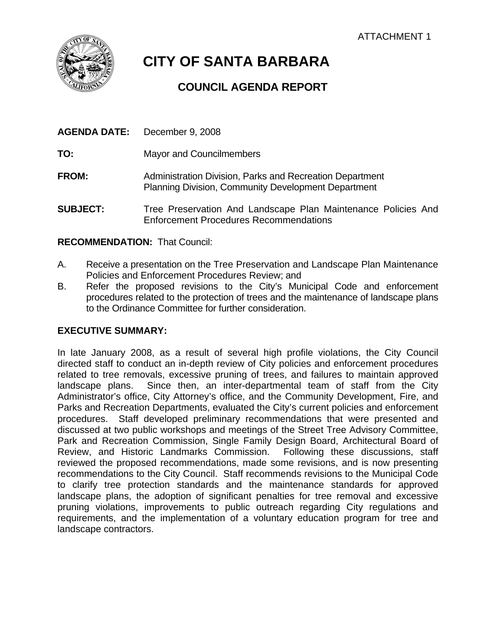

# **CITY OF SANTA BARBARA**

# **COUNCIL AGENDA REPORT**

| <b>AGENDA DATE:</b> | December 9, 2008                                                                                                       |
|---------------------|------------------------------------------------------------------------------------------------------------------------|
| TO:                 | <b>Mayor and Councilmembers</b>                                                                                        |
| <b>FROM:</b>        | Administration Division, Parks and Recreation Department<br><b>Planning Division, Community Development Department</b> |
| <b>SUBJECT:</b>     | Tree Preservation And Landscape Plan Maintenance Policies And<br><b>Enforcement Procedures Recommendations</b>         |

# **RECOMMENDATION:** That Council:

- A. Receive a presentation on the Tree Preservation and Landscape Plan Maintenance Policies and Enforcement Procedures Review; and
- B. Refer the proposed revisions to the City's Municipal Code and enforcement procedures related to the protection of trees and the maintenance of landscape plans to the Ordinance Committee for further consideration.

# **EXECUTIVE SUMMARY:**

In late January 2008, as a result of several high profile violations, the City Council directed staff to conduct an in-depth review of City policies and enforcement procedures related to tree removals, excessive pruning of trees, and failures to maintain approved landscape plans. Since then, an inter-departmental team of staff from the City Administrator's office, City Attorney's office, and the Community Development, Fire, and Parks and Recreation Departments, evaluated the City's current policies and enforcement procedures. Staff developed preliminary recommendations that were presented and discussed at two public workshops and meetings of the Street Tree Advisory Committee, Park and Recreation Commission, Single Family Design Board, Architectural Board of Review, and Historic Landmarks Commission. Following these discussions, staff reviewed the proposed recommendations, made some revisions, and is now presenting recommendations to the City Council. Staff recommends revisions to the Municipal Code to clarify tree protection standards and the maintenance standards for approved landscape plans, the adoption of significant penalties for tree removal and excessive pruning violations, improvements to public outreach regarding City regulations and requirements, and the implementation of a voluntary education program for tree and landscape contractors.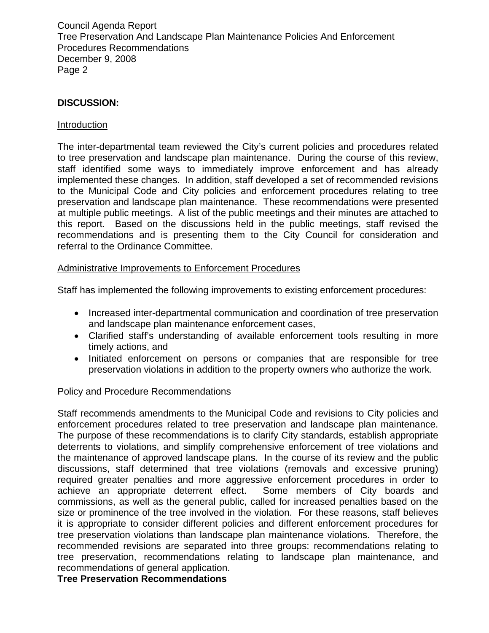# **DISCUSSION:**

#### Introduction

The inter-departmental team reviewed the City's current policies and procedures related to tree preservation and landscape plan maintenance. During the course of this review, staff identified some ways to immediately improve enforcement and has already implemented these changes. In addition, staff developed a set of recommended revisions to the Municipal Code and City policies and enforcement procedures relating to tree preservation and landscape plan maintenance. These recommendations were presented at multiple public meetings. A list of the public meetings and their minutes are attached to this report. Based on the discussions held in the public meetings, staff revised the recommendations and is presenting them to the City Council for consideration and referral to the Ordinance Committee.

#### Administrative Improvements to Enforcement Procedures

Staff has implemented the following improvements to existing enforcement procedures:

- Increased inter-departmental communication and coordination of tree preservation and landscape plan maintenance enforcement cases,
- Clarified staff's understanding of available enforcement tools resulting in more timely actions, and
- Initiated enforcement on persons or companies that are responsible for tree preservation violations in addition to the property owners who authorize the work.

#### Policy and Procedure Recommendations

Staff recommends amendments to the Municipal Code and revisions to City policies and enforcement procedures related to tree preservation and landscape plan maintenance. The purpose of these recommendations is to clarify City standards, establish appropriate deterrents to violations, and simplify comprehensive enforcement of tree violations and the maintenance of approved landscape plans. In the course of its review and the public discussions, staff determined that tree violations (removals and excessive pruning) required greater penalties and more aggressive enforcement procedures in order to achieve an appropriate deterrent effect. Some members of City boards and commissions, as well as the general public, called for increased penalties based on the size or prominence of the tree involved in the violation. For these reasons, staff believes it is appropriate to consider different policies and different enforcement procedures for tree preservation violations than landscape plan maintenance violations. Therefore, the recommended revisions are separated into three groups: recommendations relating to tree preservation, recommendations relating to landscape plan maintenance, and recommendations of general application.

**Tree Preservation Recommendations**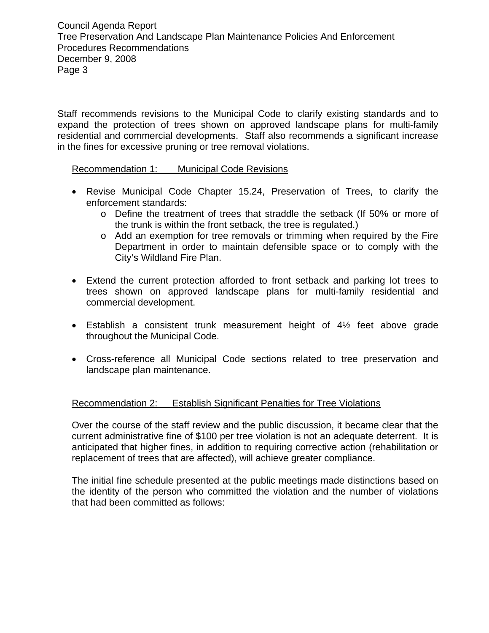Staff recommends revisions to the Municipal Code to clarify existing standards and to expand the protection of trees shown on approved landscape plans for multi-family residential and commercial developments. Staff also recommends a significant increase in the fines for excessive pruning or tree removal violations.

Recommendation 1: Municipal Code Revisions

- Revise Municipal Code Chapter 15.24, Preservation of Trees, to clarify the enforcement standards:
	- o Define the treatment of trees that straddle the setback (If 50% or more of the trunk is within the front setback, the tree is regulated.)
	- o Add an exemption for tree removals or trimming when required by the Fire Department in order to maintain defensible space or to comply with the City's Wildland Fire Plan.
- Extend the current protection afforded to front setback and parking lot trees to trees shown on approved landscape plans for multi-family residential and commercial development.
- Establish a consistent trunk measurement height of 4½ feet above grade throughout the Municipal Code.
- Cross-reference all Municipal Code sections related to tree preservation and landscape plan maintenance.

# Recommendation 2: Establish Significant Penalties for Tree Violations

Over the course of the staff review and the public discussion, it became clear that the current administrative fine of \$100 per tree violation is not an adequate deterrent. It is anticipated that higher fines, in addition to requiring corrective action (rehabilitation or replacement of trees that are affected), will achieve greater compliance.

The initial fine schedule presented at the public meetings made distinctions based on the identity of the person who committed the violation and the number of violations that had been committed as follows: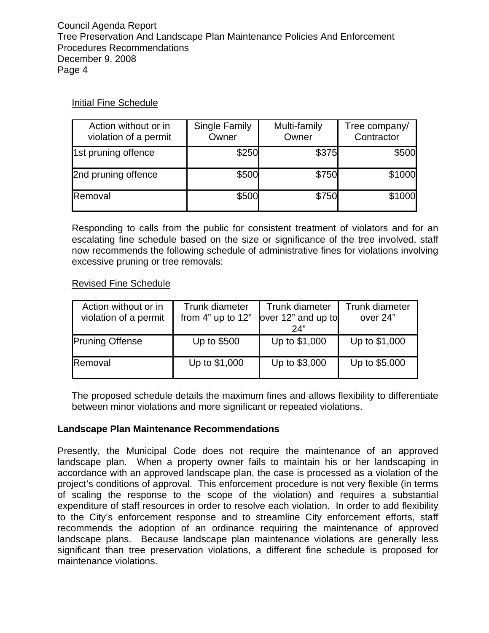# Initial Fine Schedule

| Action without or in<br>violation of a permit | Single Family<br>Owner | Multi-family<br>Owner | Tree company/<br>Contractor |
|-----------------------------------------------|------------------------|-----------------------|-----------------------------|
| 1st pruning offence                           | \$250                  | \$375                 | \$500                       |
| 2nd pruning offence                           | \$500                  | \$750                 | \$1000                      |
| Removal                                       | \$500                  | \$750                 | \$1000                      |

Responding to calls from the public for consistent treatment of violators and for an escalating fine schedule based on the size or significance of the tree involved, staff now recommends the following schedule of administrative fines for violations involving excessive pruning or tree removals:

# Revised Fine Schedule

| Action without or in<br>violation of a permit | Trunk diameter<br>from 4" up to 12" | Trunk diameter<br>over 12" and up to<br>24" | Trunk diameter<br>over 24" |
|-----------------------------------------------|-------------------------------------|---------------------------------------------|----------------------------|
| <b>Pruning Offense</b>                        | Up to \$500                         | Up to \$1,000                               | Up to \$1,000              |
| Removal                                       | Up to \$1,000                       | Up to \$3,000                               | Up to \$5,000              |

The proposed schedule details the maximum fines and allows flexibility to differentiate between minor violations and more significant or repeated violations.

# **Landscape Plan Maintenance Recommendations**

Presently, the Municipal Code does not require the maintenance of an approved landscape plan. When a property owner fails to maintain his or her landscaping in accordance with an approved landscape plan, the case is processed as a violation of the project's conditions of approval. This enforcement procedure is not very flexible (in terms of scaling the response to the scope of the violation) and requires a substantial expenditure of staff resources in order to resolve each violation. In order to add flexibility to the City's enforcement response and to streamline City enforcement efforts, staff recommends the adoption of an ordinance requiring the maintenance of approved landscape plans. Because landscape plan maintenance violations are generally less significant than tree preservation violations, a different fine schedule is proposed for maintenance violations.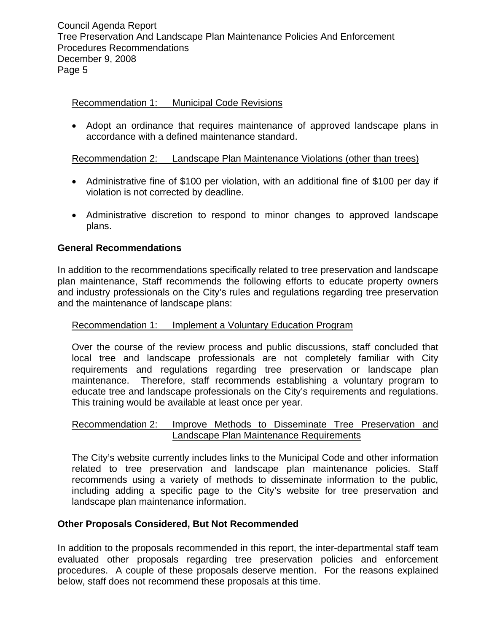#### Recommendation 1: Municipal Code Revisions

• Adopt an ordinance that requires maintenance of approved landscape plans in accordance with a defined maintenance standard.

#### Recommendation 2: Landscape Plan Maintenance Violations (other than trees)

- Administrative fine of \$100 per violation, with an additional fine of \$100 per day if violation is not corrected by deadline.
- Administrative discretion to respond to minor changes to approved landscape plans.

#### **General Recommendations**

In addition to the recommendations specifically related to tree preservation and landscape plan maintenance, Staff recommends the following efforts to educate property owners and industry professionals on the City's rules and regulations regarding tree preservation and the maintenance of landscape plans:

#### Recommendation 1: Implement a Voluntary Education Program

Over the course of the review process and public discussions, staff concluded that local tree and landscape professionals are not completely familiar with City requirements and regulations regarding tree preservation or landscape plan maintenance. Therefore, staff recommends establishing a voluntary program to educate tree and landscape professionals on the City's requirements and regulations. This training would be available at least once per year.

#### Recommendation 2: Improve Methods to Disseminate Tree Preservation and Landscape Plan Maintenance Requirements

The City's website currently includes links to the Municipal Code and other information related to tree preservation and landscape plan maintenance policies. Staff recommends using a variety of methods to disseminate information to the public, including adding a specific page to the City's website for tree preservation and landscape plan maintenance information.

#### **Other Proposals Considered, But Not Recommended**

In addition to the proposals recommended in this report, the inter-departmental staff team evaluated other proposals regarding tree preservation policies and enforcement procedures. A couple of these proposals deserve mention. For the reasons explained below, staff does not recommend these proposals at this time.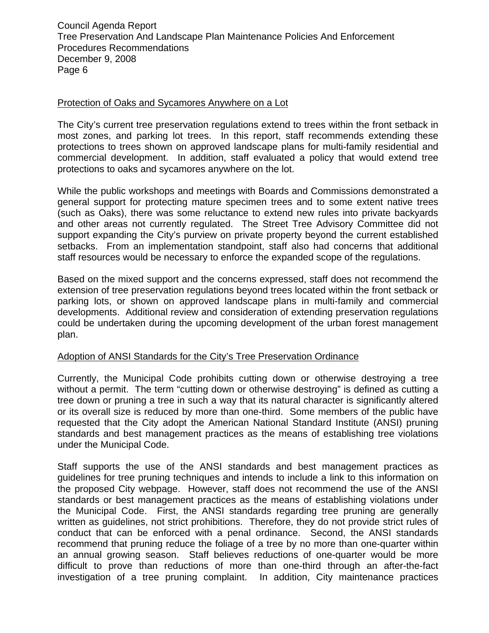#### Protection of Oaks and Sycamores Anywhere on a Lot

The City's current tree preservation regulations extend to trees within the front setback in most zones, and parking lot trees. In this report, staff recommends extending these protections to trees shown on approved landscape plans for multi-family residential and commercial development. In addition, staff evaluated a policy that would extend tree protections to oaks and sycamores anywhere on the lot.

While the public workshops and meetings with Boards and Commissions demonstrated a general support for protecting mature specimen trees and to some extent native trees (such as Oaks), there was some reluctance to extend new rules into private backyards and other areas not currently regulated. The Street Tree Advisory Committee did not support expanding the City's purview on private property beyond the current established setbacks. From an implementation standpoint, staff also had concerns that additional staff resources would be necessary to enforce the expanded scope of the regulations.

Based on the mixed support and the concerns expressed, staff does not recommend the extension of tree preservation regulations beyond trees located within the front setback or parking lots, or shown on approved landscape plans in multi-family and commercial developments. Additional review and consideration of extending preservation regulations could be undertaken during the upcoming development of the urban forest management plan.

# Adoption of ANSI Standards for the City's Tree Preservation Ordinance

Currently, the Municipal Code prohibits cutting down or otherwise destroying a tree without a permit. The term "cutting down or otherwise destroying" is defined as cutting a tree down or pruning a tree in such a way that its natural character is significantly altered or its overall size is reduced by more than one-third. Some members of the public have requested that the City adopt the American National Standard Institute (ANSI) pruning standards and best management practices as the means of establishing tree violations under the Municipal Code.

Staff supports the use of the ANSI standards and best management practices as guidelines for tree pruning techniques and intends to include a link to this information on the proposed City webpage. However, staff does not recommend the use of the ANSI standards or best management practices as the means of establishing violations under the Municipal Code. First, the ANSI standards regarding tree pruning are generally written as guidelines, not strict prohibitions. Therefore, they do not provide strict rules of conduct that can be enforced with a penal ordinance. Second, the ANSI standards recommend that pruning reduce the foliage of a tree by no more than one-quarter within an annual growing season. Staff believes reductions of one-quarter would be more difficult to prove than reductions of more than one-third through an after-the-fact investigation of a tree pruning complaint. In addition, City maintenance practices